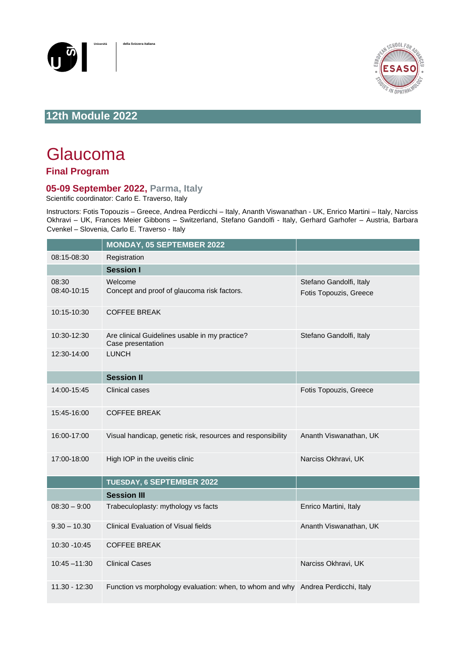



## **12th Module 2022**

## Glaucoma

## **Final Program**

## **05-09 September 2022, Parma, Italy**

Scientific coordinator: Carlo E. Traverso, Italy

Instructors: Fotis Topouzis – Greece, Andrea Perdicchi – Italy, Ananth Viswanathan - UK, Enrico Martini – Italy, Narciss Okhravi – UK, Frances Meier Gibbons – Switzerland, Stefano Gandolfi - Italy, Gerhard Garhofer – Austria, Barbara Cvenkel – Slovenia, Carlo E. Traverso - Italy

|                      | MONDAY, 05 SEPTEMBER 2022                                                        |                                                   |
|----------------------|----------------------------------------------------------------------------------|---------------------------------------------------|
| 08:15-08:30          | Registration                                                                     |                                                   |
|                      | <b>Session I</b>                                                                 |                                                   |
| 08:30<br>08:40-10:15 | Welcome<br>Concept and proof of glaucoma risk factors.                           | Stefano Gandolfi, Italy<br>Fotis Topouzis, Greece |
| 10:15-10:30          | <b>COFFEE BREAK</b>                                                              |                                                   |
| 10:30-12:30          | Are clinical Guidelines usable in my practice?<br>Case presentation              | Stefano Gandolfi, Italy                           |
| 12:30-14:00          | <b>LUNCH</b>                                                                     |                                                   |
|                      | <b>Session II</b>                                                                |                                                   |
| 14:00-15:45          | <b>Clinical cases</b>                                                            | Fotis Topouzis, Greece                            |
| 15:45-16:00          | <b>COFFEE BREAK</b>                                                              |                                                   |
| 16:00-17:00          | Visual handicap, genetic risk, resources and responsibility                      | Ananth Viswanathan, UK                            |
| 17:00-18:00          | High IOP in the uveitis clinic                                                   | Narciss Okhravi, UK                               |
|                      | TUESDAY, 6 SEPTEMBER 2022                                                        |                                                   |
|                      | <b>Session III</b>                                                               |                                                   |
| $08:30 - 9:00$       | Trabeculoplasty: mythology vs facts                                              | Enrico Martini, Italy                             |
| $9.30 - 10.30$       | <b>Clinical Evaluation of Visual fields</b>                                      | Ananth Viswanathan, UK                            |
| 10:30 - 10:45        | <b>COFFEE BREAK</b>                                                              |                                                   |
| $10:45 - 11:30$      | <b>Clinical Cases</b>                                                            | Narciss Okhravi, UK                               |
| 11.30 - 12:30        | Function vs morphology evaluation: when, to whom and why Andrea Perdicchi, Italy |                                                   |